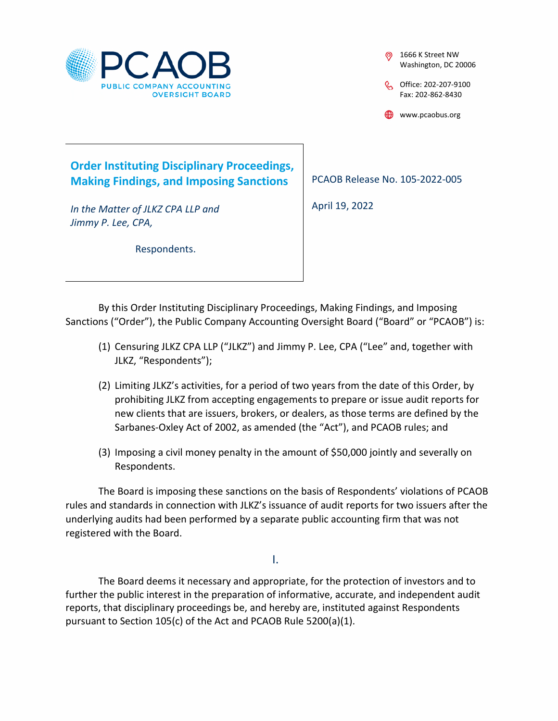

1666 K Street NW Washington, DC 20006

C<sub>o</sub>Office: 202-207-9100 Fax: 202-862-8430

www.pcaobus.org

# **Order Instituting Disciplinary Proceedings, Making Findings, and Imposing Sanctions**

*In the Matter of JLKZ CPA LLP and Jimmy P. Lee, CPA,* 

Respondents.

PCAOB Release No. 105-2022-005

April 19, 2022

By this Order Instituting Disciplinary Proceedings, Making Findings, and Imposing Sanctions ("Order"), the Public Company Accounting Oversight Board ("Board" or "PCAOB") is:

- (1) Censuring JLKZ CPA LLP ("JLKZ") and Jimmy P. Lee, CPA ("Lee" and, together with JLKZ, "Respondents");
- (2) Limiting JLKZ's activities, for a period of two years from the date of this Order, by prohibiting JLKZ from accepting engagements to prepare or issue audit reports for new clients that are issuers, brokers, or dealers, as those terms are defined by the Sarbanes-Oxley Act of 2002, as amended (the "Act"), and PCAOB rules; and
- (3) Imposing a civil money penalty in the amount of \$50,000 jointly and severally on Respondents.

The Board is imposing these sanctions on the basis of Respondents' violations of PCAOB rules and standards in connection with JLKZ's issuance of audit reports for two issuers after the underlying audits had been performed by a separate public accounting firm that was not registered with the Board.

I.

The Board deems it necessary and appropriate, for the protection of investors and to further the public interest in the preparation of informative, accurate, and independent audit reports, that disciplinary proceedings be, and hereby are, instituted against Respondents pursuant to Section 105(c) of the Act and PCAOB Rule 5200(a)(1).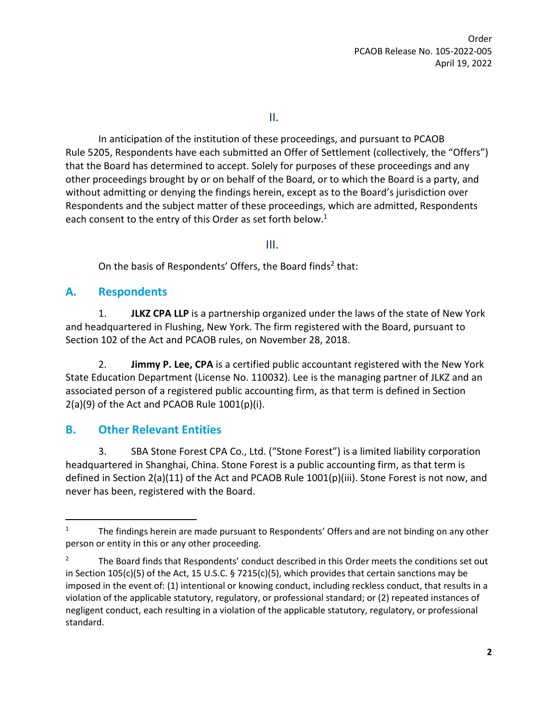II.

In anticipation of the institution of these proceedings, and pursuant to PCAOB Rule 5205, Respondents have each submitted an Offer of Settlement (collectively, the "Offers") that the Board has determined to accept. Solely for purposes of these proceedings and any other proceedings brought by or on behalf of the Board, or to which the Board is a party, and without admitting or denying the findings herein, except as to the Board's jurisdiction over Respondents and the subject matter of these proceedings, which are admitted, Respondents each consent to the entry of this Order as set forth below.<sup>1</sup>

III.

On the basis of Respondents' Offers, the Board finds<sup>2</sup> that:

### **A. Respondents**

1. **JLKZ CPA LLP** is a partnership organized under the laws of the state of New York and headquartered in Flushing, New York. The firm registered with the Board, pursuant to Section 102 of the Act and PCAOB rules, on November 28, 2018.

2. **Jimmy P. Lee, CPA** is a certified public accountant registered with the New York State Education Department (License No. 110032). Lee is the managing partner of JLKZ and an associated person of a registered public accounting firm, as that term is defined in Section  $2(a)(9)$  of the Act and PCAOB Rule  $1001(p)(i)$ .

## **B. Other Relevant Entities**

3. SBA Stone Forest CPA Co., Ltd. ("Stone Forest") is a limited liability corporation headquartered in Shanghai, China. Stone Forest is a public accounting firm, as that term is defined in Section 2(a)(11) of the Act and PCAOB Rule 1001(p)(iii). Stone Forest is not now, and never has been, registered with the Board.

<sup>&</sup>lt;sup>1</sup> The findings herein are made pursuant to Respondents' Offers and are not binding on any other person or entity in this or any other proceeding.

<sup>&</sup>lt;sup>2</sup> The Board finds that Respondents' conduct described in this Order meets the conditions set out in Section 105(c)(5) of the Act, 15 U.S.C. § 7215(c)(5), which provides that certain sanctions may be imposed in the event of: (1) intentional or knowing conduct, including reckless conduct, that results in a violation of the applicable statutory, regulatory, or professional standard; or (2) repeated instances of negligent conduct, each resulting in a violation of the applicable statutory, regulatory, or professional standard.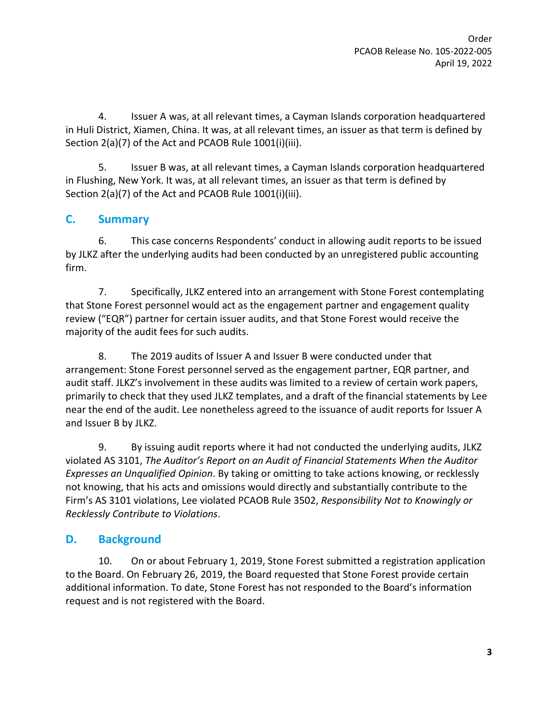4. Issuer A was, at all relevant times, a Cayman Islands corporation headquartered in Huli District, Xiamen, China. It was, at all relevant times, an issuer as that term is defined by Section 2(a)(7) of the Act and PCAOB Rule 1001(i)(iii).

5. Issuer B was, at all relevant times, a Cayman Islands corporation headquartered in Flushing, New York. It was, at all relevant times, an issuer as that term is defined by Section 2(a)(7) of the Act and PCAOB Rule 1001(i)(iii).

## **C. Summary**

6. This case concerns Respondents' conduct in allowing audit reports to be issued by JLKZ after the underlying audits had been conducted by an unregistered public accounting firm.

7. Specifically, JLKZ entered into an arrangement with Stone Forest contemplating that Stone Forest personnel would act as the engagement partner and engagement quality review ("EQR") partner for certain issuer audits, and that Stone Forest would receive the majority of the audit fees for such audits.

8. The 2019 audits of Issuer A and Issuer B were conducted under that arrangement: Stone Forest personnel served as the engagement partner, EQR partner, and audit staff. JLKZ's involvement in these audits was limited to a review of certain work papers, primarily to check that they used JLKZ templates, and a draft of the financial statements by Lee near the end of the audit. Lee nonetheless agreed to the issuance of audit reports for Issuer A and Issuer B by JLKZ.

9. By issuing audit reports where it had not conducted the underlying audits, JLKZ violated AS 3101, *The Auditor's Report on an Audit of Financial Statements When the Auditor Expresses an Unqualified Opinion*. By taking or omitting to take actions knowing, or recklessly not knowing, that his acts and omissions would directly and substantially contribute to the Firm's AS 3101 violations, Lee violated PCAOB Rule 3502, *Responsibility Not to Knowingly or Recklessly Contribute to Violations*.

# **D. Background**

10. On or about February 1, 2019, Stone Forest submitted a registration application to the Board. On February 26, 2019, the Board requested that Stone Forest provide certain additional information. To date, Stone Forest has not responded to the Board's information request and is not registered with the Board.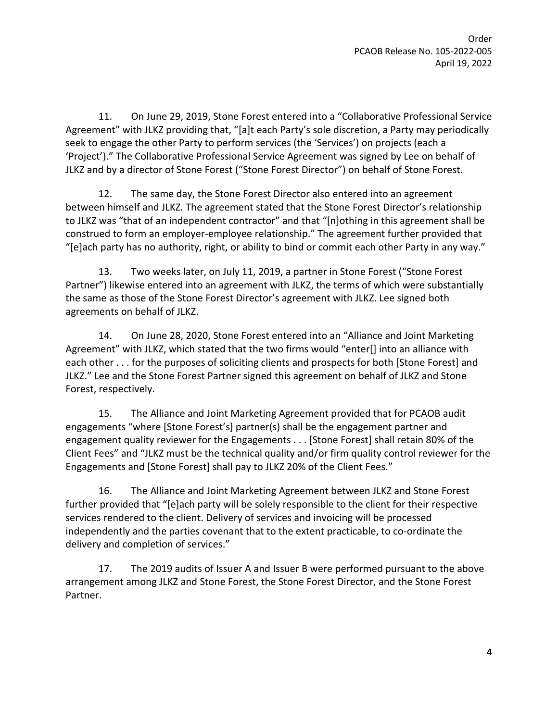11. On June 29, 2019, Stone Forest entered into a "Collaborative Professional Service Agreement" with JLKZ providing that, "[a]t each Party's sole discretion, a Party may periodically seek to engage the other Party to perform services (the 'Services') on projects (each a 'Project')." The Collaborative Professional Service Agreement was signed by Lee on behalf of JLKZ and by a director of Stone Forest ("Stone Forest Director") on behalf of Stone Forest.

12. The same day, the Stone Forest Director also entered into an agreement between himself and JLKZ. The agreement stated that the Stone Forest Director's relationship to JLKZ was "that of an independent contractor" and that "[n]othing in this agreement shall be construed to form an employer-employee relationship." The agreement further provided that "[e]ach party has no authority, right, or ability to bind or commit each other Party in any way."

13. Two weeks later, on July 11, 2019, a partner in Stone Forest ("Stone Forest Partner") likewise entered into an agreement with JLKZ, the terms of which were substantially the same as those of the Stone Forest Director's agreement with JLKZ. Lee signed both agreements on behalf of JLKZ.

14. On June 28, 2020, Stone Forest entered into an "Alliance and Joint Marketing Agreement" with JLKZ, which stated that the two firms would "enter[] into an alliance with each other . . . for the purposes of soliciting clients and prospects for both [Stone Forest] and JLKZ." Lee and the Stone Forest Partner signed this agreement on behalf of JLKZ and Stone Forest, respectively.

15. The Alliance and Joint Marketing Agreement provided that for PCAOB audit engagements "where [Stone Forest's] partner(s) shall be the engagement partner and engagement quality reviewer for the Engagements . . . [Stone Forest] shall retain 80% of the Client Fees" and "JLKZ must be the technical quality and/or firm quality control reviewer for the Engagements and [Stone Forest] shall pay to JLKZ 20% of the Client Fees."

16. The Alliance and Joint Marketing Agreement between JLKZ and Stone Forest further provided that "[e]ach party will be solely responsible to the client for their respective services rendered to the client. Delivery of services and invoicing will be processed independently and the parties covenant that to the extent practicable, to co-ordinate the delivery and completion of services."

17. The 2019 audits of Issuer A and Issuer B were performed pursuant to the above arrangement among JLKZ and Stone Forest, the Stone Forest Director, and the Stone Forest Partner.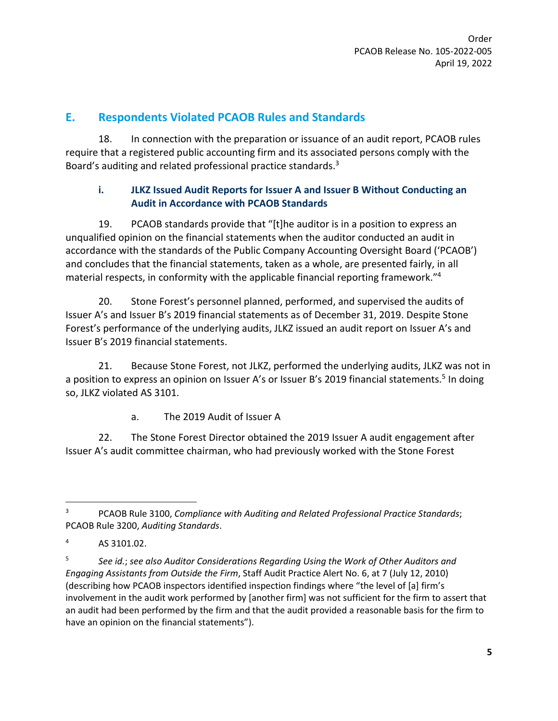### **E. Respondents Violated PCAOB Rules and Standards**

18. In connection with the preparation or issuance of an audit report, PCAOB rules require that a registered public accounting firm and its associated persons comply with the Board's auditing and related professional practice standards.<sup>3</sup>

### **i. JLKZ Issued Audit Reports for Issuer A and Issuer B Without Conducting an Audit in Accordance with PCAOB Standards**

19. PCAOB standards provide that "[t]he auditor is in a position to express an unqualified opinion on the financial statements when the auditor conducted an audit in accordance with the standards of the Public Company Accounting Oversight Board ('PCAOB') and concludes that the financial statements, taken as a whole, are presented fairly, in all material respects, in conformity with the applicable financial reporting framework."<sup>4</sup>

20. Stone Forest's personnel planned, performed, and supervised the audits of Issuer A's and Issuer B's 2019 financial statements as of December 31, 2019. Despite Stone Forest's performance of the underlying audits, JLKZ issued an audit report on Issuer A's and Issuer B's 2019 financial statements.

21. Because Stone Forest, not JLKZ, performed the underlying audits, JLKZ was not in a position to express an opinion on Issuer A's or Issuer B's 2019 financial statements.<sup>5</sup> In doing so, JLKZ violated AS 3101.

a. The 2019 Audit of Issuer A

22. The Stone Forest Director obtained the 2019 Issuer A audit engagement after Issuer A's audit committee chairman, who had previously worked with the Stone Forest

<sup>3</sup> PCAOB Rule 3100, *Compliance with Auditing and Related Professional Practice Standards*; PCAOB Rule 3200, *Auditing Standards*.

<sup>4</sup> AS 3101.02.

<sup>5</sup> *See id.*; *see also Auditor Considerations Regarding Using the Work of Other Auditors and Engaging Assistants from Outside the Firm*, Staff Audit Practice Alert No. 6, at 7 (July 12, 2010) (describing how PCAOB inspectors identified inspection findings where "the level of [a] firm's involvement in the audit work performed by [another firm] was not sufficient for the firm to assert that an audit had been performed by the firm and that the audit provided a reasonable basis for the firm to have an opinion on the financial statements").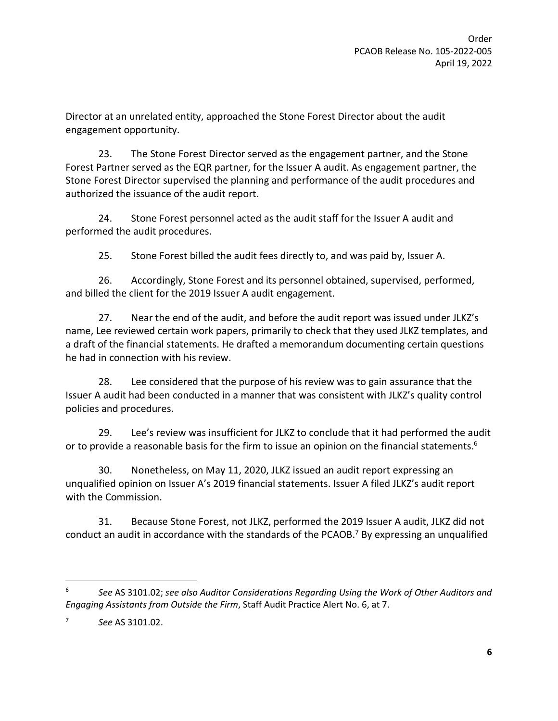Director at an unrelated entity, approached the Stone Forest Director about the audit engagement opportunity.

23. The Stone Forest Director served as the engagement partner, and the Stone Forest Partner served as the EQR partner, for the Issuer A audit. As engagement partner, the Stone Forest Director supervised the planning and performance of the audit procedures and authorized the issuance of the audit report.

24. Stone Forest personnel acted as the audit staff for the Issuer A audit and performed the audit procedures.

25. Stone Forest billed the audit fees directly to, and was paid by, Issuer A.

26. Accordingly, Stone Forest and its personnel obtained, supervised, performed, and billed the client for the 2019 Issuer A audit engagement.

27. Near the end of the audit, and before the audit report was issued under JLKZ's name, Lee reviewed certain work papers, primarily to check that they used JLKZ templates, and a draft of the financial statements. He drafted a memorandum documenting certain questions he had in connection with his review.

28. Lee considered that the purpose of his review was to gain assurance that the Issuer A audit had been conducted in a manner that was consistent with JLKZ's quality control policies and procedures.

29. Lee's review was insufficient for JLKZ to conclude that it had performed the audit or to provide a reasonable basis for the firm to issue an opinion on the financial statements.<sup>6</sup>

30. Nonetheless, on May 11, 2020, JLKZ issued an audit report expressing an unqualified opinion on Issuer A's 2019 financial statements. Issuer A filed JLKZ's audit report with the Commission.

31. Because Stone Forest, not JLKZ, performed the 2019 Issuer A audit, JLKZ did not conduct an audit in accordance with the standards of the PCAOB.<sup>7</sup> By expressing an unqualified

<sup>6</sup> *See* AS 3101.02; *see also Auditor Considerations Regarding Using the Work of Other Auditors and Engaging Assistants from Outside the Firm*, Staff Audit Practice Alert No. 6, at 7.

<sup>7</sup> *See* AS 3101.02.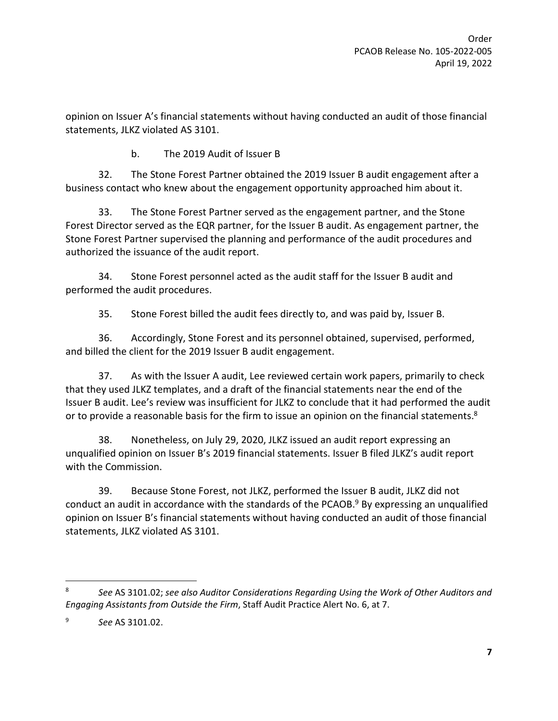opinion on Issuer A's financial statements without having conducted an audit of those financial statements, JLKZ violated AS 3101.

b. The 2019 Audit of Issuer B

32. The Stone Forest Partner obtained the 2019 Issuer B audit engagement after a business contact who knew about the engagement opportunity approached him about it.

33. The Stone Forest Partner served as the engagement partner, and the Stone Forest Director served as the EQR partner, for the Issuer B audit. As engagement partner, the Stone Forest Partner supervised the planning and performance of the audit procedures and authorized the issuance of the audit report.

34. Stone Forest personnel acted as the audit staff for the Issuer B audit and performed the audit procedures.

35. Stone Forest billed the audit fees directly to, and was paid by, Issuer B.

36. Accordingly, Stone Forest and its personnel obtained, supervised, performed, and billed the client for the 2019 Issuer B audit engagement.

37. As with the Issuer A audit, Lee reviewed certain work papers, primarily to check that they used JLKZ templates, and a draft of the financial statements near the end of the Issuer B audit. Lee's review was insufficient for JLKZ to conclude that it had performed the audit or to provide a reasonable basis for the firm to issue an opinion on the financial statements.<sup>8</sup>

38. Nonetheless, on July 29, 2020, JLKZ issued an audit report expressing an unqualified opinion on Issuer B's 2019 financial statements. Issuer B filed JLKZ's audit report with the Commission.

39. Because Stone Forest, not JLKZ, performed the Issuer B audit, JLKZ did not conduct an audit in accordance with the standards of the PCAOB. $9$  By expressing an unqualified opinion on Issuer B's financial statements without having conducted an audit of those financial statements, JLKZ violated AS 3101.

<sup>8</sup> *See* AS 3101.02; *see also Auditor Considerations Regarding Using the Work of Other Auditors and Engaging Assistants from Outside the Firm*, Staff Audit Practice Alert No. 6, at 7.

<sup>9</sup> *See* AS 3101.02.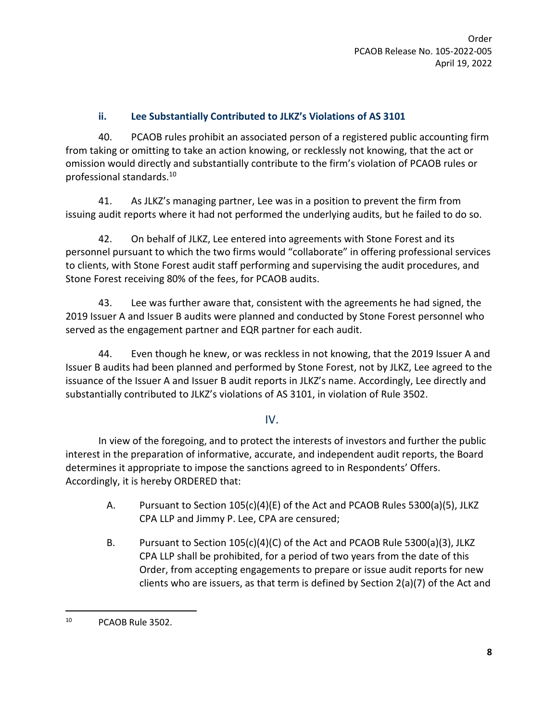#### **ii. Lee Substantially Contributed to JLKZ's Violations of AS 3101**

40. PCAOB rules prohibit an associated person of a registered public accounting firm from taking or omitting to take an action knowing, or recklessly not knowing, that the act or omission would directly and substantially contribute to the firm's violation of PCAOB rules or professional standards.<sup>10</sup>

41. As JLKZ's managing partner, Lee was in a position to prevent the firm from issuing audit reports where it had not performed the underlying audits, but he failed to do so.

42. On behalf of JLKZ, Lee entered into agreements with Stone Forest and its personnel pursuant to which the two firms would "collaborate" in offering professional services to clients, with Stone Forest audit staff performing and supervising the audit procedures, and Stone Forest receiving 80% of the fees, for PCAOB audits.

43. Lee was further aware that, consistent with the agreements he had signed, the 2019 Issuer A and Issuer B audits were planned and conducted by Stone Forest personnel who served as the engagement partner and EQR partner for each audit.

44. Even though he knew, or was reckless in not knowing, that the 2019 Issuer A and Issuer B audits had been planned and performed by Stone Forest, not by JLKZ, Lee agreed to the issuance of the Issuer A and Issuer B audit reports in JLKZ's name. Accordingly, Lee directly and substantially contributed to JLKZ's violations of AS 3101, in violation of Rule 3502.

#### IV.

In view of the foregoing, and to protect the interests of investors and further the public interest in the preparation of informative, accurate, and independent audit reports, the Board determines it appropriate to impose the sanctions agreed to in Respondents' Offers. Accordingly, it is hereby ORDERED that:

- A. Pursuant to Section 105(c)(4)(E) of the Act and PCAOB Rules 5300(a)(5), JLKZ CPA LLP and Jimmy P. Lee, CPA are censured;
- B. Pursuant to Section 105(c)(4)(C) of the Act and PCAOB Rule 5300(a)(3), JLKZ CPA LLP shall be prohibited, for a period of two years from the date of this Order, from accepting engagements to prepare or issue audit reports for new clients who are issuers, as that term is defined by Section 2(a)(7) of the Act and

<sup>10</sup> PCAOB Rule 3502.